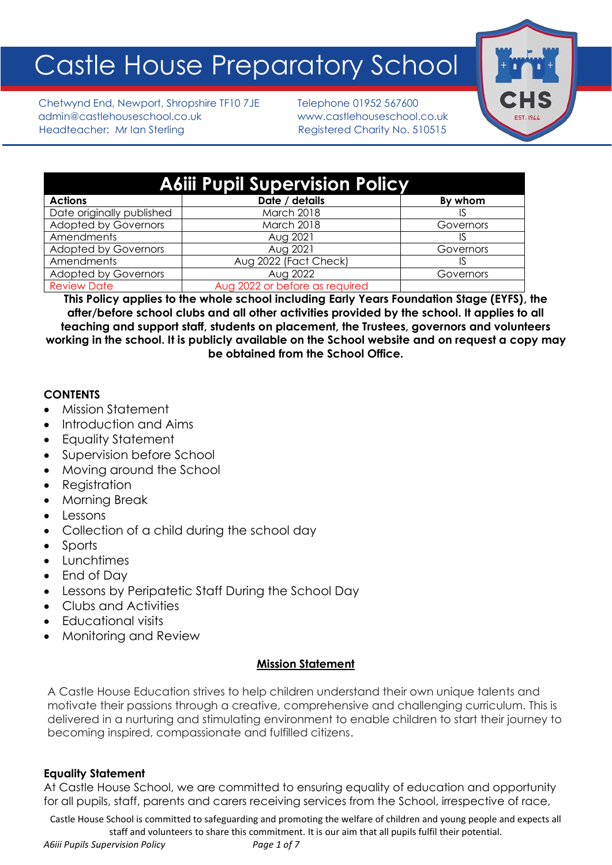# Castle House Preparatory School

Chetwynd End, Newport, Shropshire TF10 7JE Telephone 01952 567600 admin@castlehouseschool.co.uk www.castlehouseschool.co.uk Headteacher: Mr Ian Sterling Theory Registered Charity No. 510515



| <b>A6iii Pupil Supervision Policy</b> |                                |           |
|---------------------------------------|--------------------------------|-----------|
| <b>Actions</b>                        | Date / details                 | By whom   |
| Date originally published             | March 2018                     |           |
| <b>Adopted by Governors</b>           | March 2018                     | Governors |
| Amendments                            | Aug 2021                       |           |
| <b>Adopted by Governors</b>           | Aug 2021                       | Governors |
| Amendments                            | Aug 2022 (Fact Check)          | IS        |
| <b>Adopted by Governors</b>           | Aug 2022                       | Governors |
| <b>Review Date</b>                    | Aug 2022 or before as required |           |

**This Policy applies to the whole school including Early Years Foundation Stage (EYFS), the after/before school clubs and all other activities provided by the school. It applies to all teaching and support staff, students on placement, the Trustees, governors and volunteers working in the school. It is publicly available on the School website and on request a copy may be obtained from the School Office.**

## **CONTENTS**

- Mission Statement
- Introduction and Aims
- Equality Statement
- Supervision before School
- Moving around the School
- Registration
- Morning Break
- Lessons
- Collection of a child during the school day
- Sports
- Lunchtimes
- End of Day
- Lessons by Peripatetic Staff During the School Day
- Clubs and Activities
- Educational visits
- Monitoring and Review

# **Mission Statement**

A Castle House Education strives to help children understand their own unique talents and motivate their passions through a creative, comprehensive and challenging curriculum. This is delivered in a nurturing and stimulating environment to enable children to start their journey to becoming inspired, compassionate and fulfilled citizens.

# **Equality Statement**

At Castle House School, we are committed to ensuring equality of education and opportunity for all pupils, staff, parents and carers receiving services from the School, irrespective of race,

Castle House School is committed to safeguarding and promoting the welfare of children and young people and expects all staff and volunteers to share this commitment. It is our aim that all pupils fulfil their potential.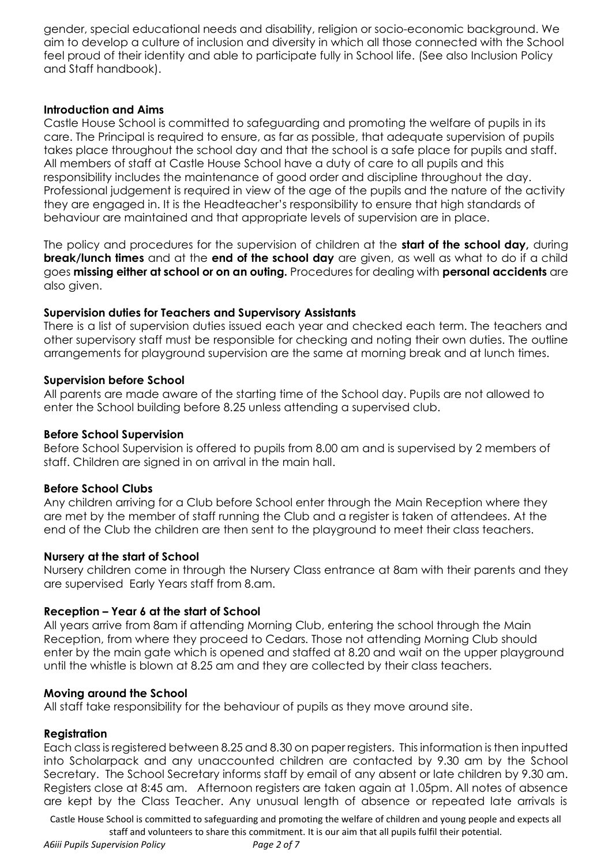gender, special educational needs and disability, religion or socio-economic background. We aim to develop a culture of inclusion and diversity in which all those connected with the School feel proud of their identity and able to participate fully in School life. (See also Inclusion Policy and Staff handbook).

#### **Introduction and Aims**

Castle House School is committed to safeguarding and promoting the welfare of pupils in its care. The Principal is required to ensure, as far as possible, that adequate supervision of pupils takes place throughout the school day and that the school is a safe place for pupils and staff. All members of staff at Castle House School have a duty of care to all pupils and this responsibility includes the maintenance of good order and discipline throughout the day. Professional judgement is required in view of the age of the pupils and the nature of the activity they are engaged in. It is the Headteacher's responsibility to ensure that high standards of behaviour are maintained and that appropriate levels of supervision are in place.

The policy and procedures for the supervision of children at the **start of the school day,** during **break/lunch times** and at the **end of the school day** are given, as well as what to do if a child goes **missing either at school or on an outing.** Procedures for dealing with **personal accidents** are also given.

#### **Supervision duties for Teachers and Supervisory Assistants**

There is a list of supervision duties issued each year and checked each term. The teachers and other supervisory staff must be responsible for checking and noting their own duties. The outline arrangements for playground supervision are the same at morning break and at lunch times.

#### **Supervision before School**

All parents are made aware of the starting time of the School day. Pupils are not allowed to enter the School building before 8.25 unless attending a supervised club.

#### **Before School Supervision**

Before School Supervision is offered to pupils from 8.00 am and is supervised by 2 members of staff. Children are signed in on arrival in the main hall.

## **Before School Clubs**

Any children arriving for a Club before School enter through the Main Reception where they are met by the member of staff running the Club and a register is taken of attendees. At the end of the Club the children are then sent to the playground to meet their class teachers.

#### **Nursery at the start of School**

Nursery children come in through the Nursery Class entrance at 8am with their parents and they are supervised Early Years staff from 8.am.

#### **Reception – Year 6 at the start of School**

All years arrive from 8am if attending Morning Club, entering the school through the Main Reception, from where they proceed to Cedars. Those not attending Morning Club should enter by the main gate which is opened and staffed at 8.20 and wait on the upper playground until the whistle is blown at 8.25 am and they are collected by their class teachers.

#### **Moving around the School**

All staff take responsibility for the behaviour of pupils as they move around site.

#### **Registration**

Each class is registered between 8.25 and 8.30 on paper registers. This information is then inputted into Scholarpack and any unaccounted children are contacted by 9.30 am by the School Secretary. The School Secretary informs staff by email of any absent or late children by 9.30 am. Registers close at 8:45 am. Afternoon registers are taken again at 1.05pm. All notes of absence are kept by the Class Teacher. Any unusual length of absence or repeated late arrivals is

Castle House School is committed to safeguarding and promoting the welfare of children and young people and expects all staff and volunteers to share this commitment. It is our aim that all pupils fulfil their potential.

*A6iii Pupils Supervision Policy Page 2 of 7*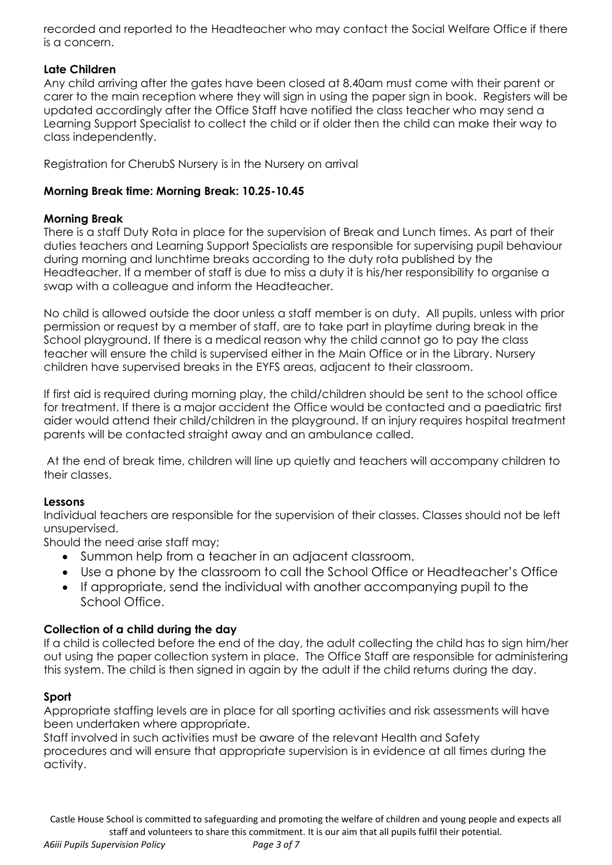recorded and reported to the Headteacher who may contact the Social Welfare Office if there is a concern.

## **Late Children**

Any child arriving after the gates have been closed at 8.40am must come with their parent or carer to the main reception where they will sign in using the paper sign in book. Registers will be updated accordingly after the Office Staff have notified the class teacher who may send a Learning Support Specialist to collect the child or if older then the child can make their way to class independently.

Registration for CherubS Nursery is in the Nursery on arrival

## **Morning Break time: Morning Break: 10.25-10.45**

## **Morning Break**

There is a staff Duty Rota in place for the supervision of Break and Lunch times. As part of their duties teachers and Learning Support Specialists are responsible for supervising pupil behaviour during morning and lunchtime breaks according to the duty rota published by the Headteacher. If a member of staff is due to miss a duty it is his/her responsibility to organise a swap with a colleague and inform the Headteacher.

No child is allowed outside the door unless a staff member is on duty. All pupils, unless with prior permission or request by a member of staff, are to take part in playtime during break in the School playground. If there is a medical reason why the child cannot go to pay the class teacher will ensure the child is supervised either in the Main Office or in the Library. Nursery children have supervised breaks in the EYFS areas, adjacent to their classroom.

If first aid is required during morning play, the child/children should be sent to the school office for treatment. If there is a major accident the Office would be contacted and a paediatric first aider would attend their child/children in the playground. If an injury requires hospital treatment parents will be contacted straight away and an ambulance called.

At the end of break time, children will line up quietly and teachers will accompany children to their classes.

## **Lessons**

Individual teachers are responsible for the supervision of their classes. Classes should not be left unsupervised.

Should the need arise staff may;

- Summon help from a teacher in an adjacent classroom.
- Use a phone by the classroom to call the School Office or Headteacher's Office
- If appropriate, send the individual with another accompanying pupil to the School Office.

## **Collection of a child during the day**

If a child is collected before the end of the day, the adult collecting the child has to sign him/her out using the paper collection system in place. The Office Staff are responsible for administering this system. The child is then signed in again by the adult if the child returns during the day.

## **Sport**

Appropriate staffing levels are in place for all sporting activities and risk assessments will have been undertaken where appropriate.

Staff involved in such activities must be aware of the relevant Health and Safety procedures and will ensure that appropriate supervision is in evidence at all times during the activity.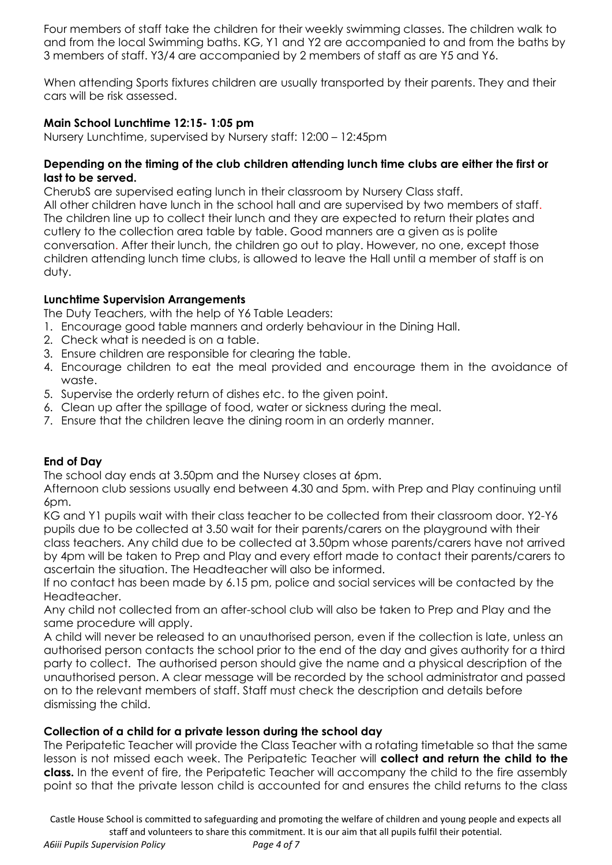Four members of staff take the children for their weekly swimming classes. The children walk to and from the local Swimming baths. KG, Y1 and Y2 are accompanied to and from the baths by 3 members of staff. Y3/4 are accompanied by 2 members of staff as are Y5 and Y6.

When attending Sports fixtures children are usually transported by their parents. They and their cars will be risk assessed.

## **Main School Lunchtime 12:15- 1:05 pm**

Nursery Lunchtime, supervised by Nursery staff: 12:00 – 12:45pm

#### **Depending on the timing of the club children attending lunch time clubs are either the first or last to be served.**

CherubS are supervised eating lunch in their classroom by Nursery Class staff. All other children have lunch in the school hall and are supervised by two members of staff. The children line up to collect their lunch and they are expected to return their plates and cutlery to the collection area table by table. Good manners are a given as is polite conversation. After their lunch, the children go out to play. However, no one, except those children attending lunch time clubs, is allowed to leave the Hall until a member of staff is on duty.

## **Lunchtime Supervision Arrangements**

The Duty Teachers, with the help of Y6 Table Leaders:

- 1. Encourage good table manners and orderly behaviour in the Dining Hall.
- 2. Check what is needed is on a table.
- 3. Ensure children are responsible for clearing the table.
- 4. Encourage children to eat the meal provided and encourage them in the avoidance of waste.
- 5. Supervise the orderly return of dishes etc. to the given point.
- 6. Clean up after the spillage of food, water or sickness during the meal.
- 7. Ensure that the children leave the dining room in an orderly manner.

## **End of Day**

The school day ends at 3.50pm and the Nursey closes at 6pm.

Afternoon club sessions usually end between 4.30 and 5pm. with Prep and Play continuing until 6pm.

KG and Y1 pupils wait with their class teacher to be collected from their classroom door. Y2-Y6 pupils due to be collected at 3.50 wait for their parents/carers on the playground with their class teachers. Any child due to be collected at 3.50pm whose parents/carers have not arrived by 4pm will be taken to Prep and Play and every effort made to contact their parents/carers to ascertain the situation. The Headteacher will also be informed.

If no contact has been made by 6.15 pm, police and social services will be contacted by the Headteacher.

Any child not collected from an after-school club will also be taken to Prep and Play and the same procedure will apply.

A child will never be released to an unauthorised person, even if the collection is late, unless an authorised person contacts the school prior to the end of the day and gives authority for a third party to collect. The authorised person should give the name and a physical description of the unauthorised person. A clear message will be recorded by the school administrator and passed on to the relevant members of staff. Staff must check the description and details before dismissing the child.

## **Collection of a child for a private lesson during the school day**

The Peripatetic Teacher will provide the Class Teacher with a rotating timetable so that the same lesson is not missed each week. The Peripatetic Teacher will **collect and return the child to the class.** In the event of fire, the Peripatetic Teacher will accompany the child to the fire assembly point so that the private lesson child is accounted for and ensures the child returns to the class

*A6iii Pupils Supervision Policy Page 4 of 7*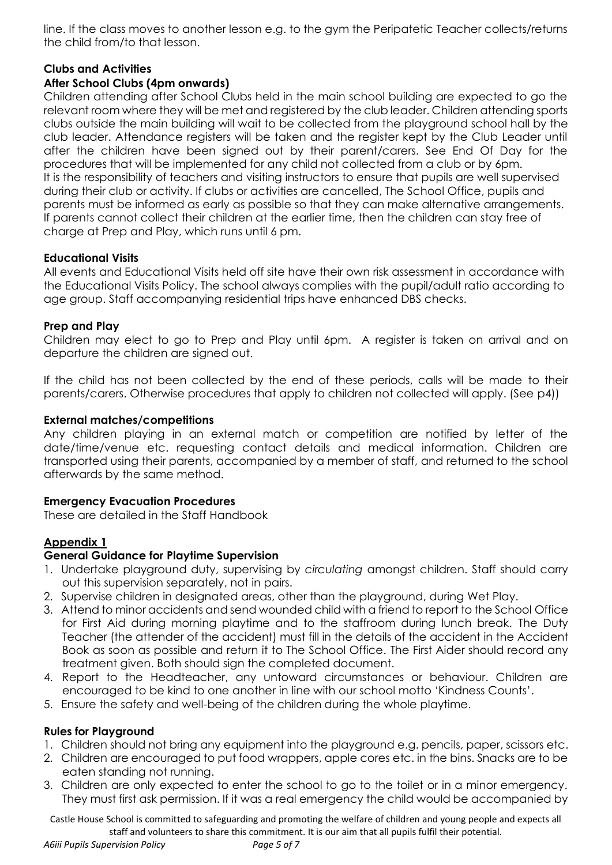line. If the class moves to another lesson e.g. to the gym the Peripatetic Teacher collects/returns the child from/to that lesson.

## **Clubs and Activities**

# **After School Clubs (4pm onwards)**

Children attending after School Clubs held in the main school building are expected to go the relevant room where they will be met and registered by the club leader. Children attending sports clubs outside the main building will wait to be collected from the playground school hall by the club leader. Attendance registers will be taken and the register kept by the Club Leader until after the children have been signed out by their parent/carers. See End Of Day for the procedures that will be implemented for any child not collected from a club or by 6pm. It is the responsibility of teachers and visiting instructors to ensure that pupils are well supervised during their club or activity. If clubs or activities are cancelled, The School Office, pupils and parents must be informed as early as possible so that they can make alternative arrangements. If parents cannot collect their children at the earlier time, then the children can stay free of charge at Prep and Play, which runs until 6 pm.

## **Educational Visits**

All events and Educational Visits held off site have their own risk assessment in accordance with the Educational Visits Policy. The school always complies with the pupil/adult ratio according to age group. Staff accompanying residential trips have enhanced DBS checks.

#### **Prep and Play**

Children may elect to go to Prep and Play until 6pm. A register is taken on arrival and on departure the children are signed out.

If the child has not been collected by the end of these periods, calls will be made to their parents/carers. Otherwise procedures that apply to children not collected will apply. (See p4))

#### **External matches/competitions**

Any children playing in an external match or competition are notified by letter of the date/time/venue etc. requesting contact details and medical information. Children are transported using their parents, accompanied by a member of staff, and returned to the school afterwards by the same method.

#### **Emergency Evacuation Procedures**

These are detailed in the Staff Handbook

# **Appendix 1**

## **General Guidance for Playtime Supervision**

- 1. Undertake playground duty, supervising by *circulating* amongst children. Staff should carry out this supervision separately, not in pairs.
- 2. Supervise children in designated areas, other than the playground, during Wet Play.
- 3. Attend to minor accidents and send wounded child with a friend to report to the School Office for First Aid during morning playtime and to the staffroom during lunch break. The Duty Teacher (the attender of the accident) must fill in the details of the accident in the Accident Book as soon as possible and return it to The School Office. The First Aider should record any treatment given. Both should sign the completed document.
- 4. Report to the Headteacher, any untoward circumstances or behaviour. Children are encouraged to be kind to one another in line with our school motto 'Kindness Counts'.
- 5. Ensure the safety and well-being of the children during the whole playtime.

## **Rules for Playground**

- 1. Children should not bring any equipment into the playground e.g. pencils, paper, scissors etc.
- 2. Children are encouraged to put food wrappers, apple cores etc. in the bins. Snacks are to be eaten standing not running.
- 3. Children are only expected to enter the school to go to the toilet or in a minor emergency. They must first ask permission. If it was a real emergency the child would be accompanied by

Castle House School is committed to safeguarding and promoting the welfare of children and young people and expects all staff and volunteers to share this commitment. It is our aim that all pupils fulfil their potential.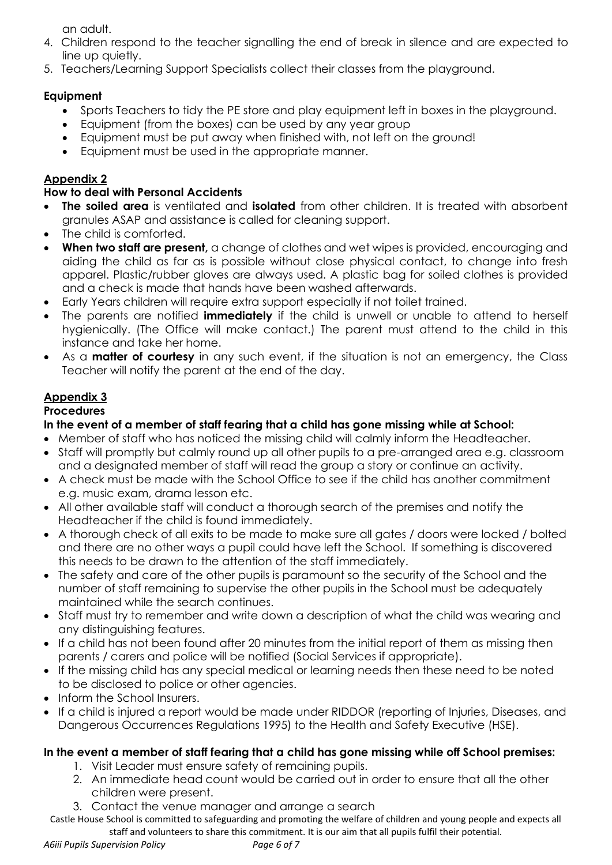an adult.

- 4. Children respond to the teacher signalling the end of break in silence and are expected to line up quietly.
- 5. Teachers/Learning Support Specialists collect their classes from the playground.

# **Equipment**

- Sports Teachers to tidy the PE store and play equipment left in boxes in the playaround.
- Equipment (from the boxes) can be used by any year group
- Equipment must be put away when finished with, not left on the ground!
- Equipment must be used in the appropriate manner.

# **Appendix 2**

# **How to deal with Personal Accidents**

- **The soiled area** is ventilated and **isolated** from other children. It is treated with absorbent granules ASAP and assistance is called for cleaning support.
- The child is comforted.
- **When two staff are present,** a change of clothes and wet wipes is provided, encouraging and aiding the child as far as is possible without close physical contact, to change into fresh apparel. Plastic/rubber gloves are always used. A plastic bag for soiled clothes is provided and a check is made that hands have been washed afterwards.
- Early Years children will require extra support especially if not toilet trained.
- The parents are notified **immediately** if the child is unwell or unable to attend to herself hygienically. (The Office will make contact.) The parent must attend to the child in this instance and take her home.
- As a **matter of courtesy** in any such event, if the situation is not an emergency, the Class Teacher will notify the parent at the end of the day.

# **Appendix 3**

# **Procedures**

# **In the event of a member of staff fearing that a child has gone missing while at School:**

- Member of staff who has noticed the missing child will calmly inform the Headteacher.
- Staff will promptly but calmly round up all other pupils to a pre-arranged area e.g. classroom and a designated member of staff will read the group a story or continue an activity.
- A check must be made with the School Office to see if the child has another commitment e.g. music exam, drama lesson etc.
- All other available staff will conduct a thorough search of the premises and notify the Headteacher if the child is found immediately.
- A thorough check of all exits to be made to make sure all gates / doors were locked / bolted and there are no other ways a pupil could have left the School. If something is discovered this needs to be drawn to the attention of the staff immediately.
- The safety and care of the other pupils is paramount so the security of the School and the number of staff remaining to supervise the other pupils in the School must be adequately maintained while the search continues.
- Staff must try to remember and write down a description of what the child was wearing and any distinguishing features.
- If a child has not been found after 20 minutes from the initial report of them as missing then parents / carers and police will be notified (Social Services if appropriate).
- If the missing child has any special medical or learning needs then these need to be noted to be disclosed to police or other agencies.
- Inform the School Insurers.
- If a child is injured a report would be made under RIDDOR (reporting of Injuries, Diseases, and Dangerous Occurrences Regulations 1995) to the Health and Safety Executive (HSE).

# **In the event a member of staff fearing that a child has gone missing while off School premises:**

- 1. Visit Leader must ensure safety of remaining pupils.
- 2. An immediate head count would be carried out in order to ensure that all the other children were present.
- 3. Contact the venue manager and arrange a search
- Castle House School is committed to safeguarding and promoting the welfare of children and young people and expects all staff and volunteers to share this commitment. It is our aim that all pupils fulfil their potential.